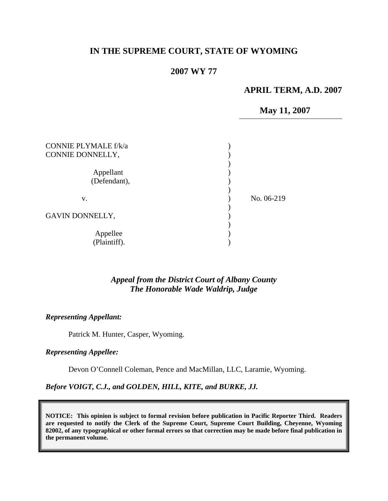# **IN THE SUPREME COURT, STATE OF WYOMING**

### **2007 WY 77**

#### **APRIL TERM, A.D. 2007**

**May 11, 2007** 

| <b>CONNIE PLYMALE f/k/a</b><br>CONNIE DONNELLY, |            |
|-------------------------------------------------|------------|
| Appellant<br>(Defendant),                       |            |
| v.                                              | No. 06-219 |
| GAVIN DONNELLY,                                 |            |
| Appellee<br>(Plaintiff).                        |            |

#### *Appeal from the District Court of Albany County The Honorable Wade Waldrip, Judge*

#### *Representing Appellant:*

Patrick M. Hunter, Casper, Wyoming.

### *Representing Appellee:*

Devon O'Connell Coleman, Pence and MacMillan, LLC, Laramie, Wyoming.

#### *Before VOIGT, C.J., and GOLDEN, HILL, KITE, and BURKE, JJ.*

**NOTICE: This opinion is subject to formal revision before publication in Pacific Reporter Third. Readers are requested to notify the Clerk of the Supreme Court, Supreme Court Building, Cheyenne, Wyoming 82002, of any typographical or other formal errors so that correction may be made before final publication in the permanent volume.**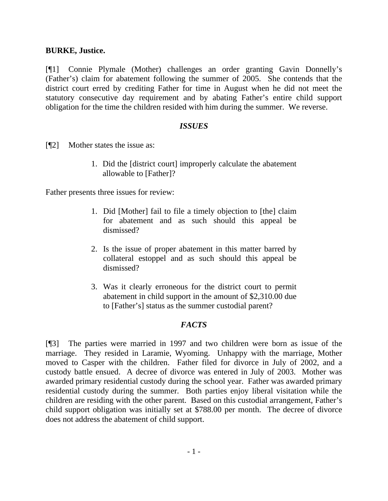### **BURKE, Justice.**

[¶1] Connie Plymale (Mother) challenges an order granting Gavin Donnelly's (Father's) claim for abatement following the summer of 2005. She contends that the district court erred by crediting Father for time in August when he did not meet the statutory consecutive day requirement and by abating Father's entire child support obligation for the time the children resided with him during the summer. We reverse.

## *ISSUES*

[¶2] Mother states the issue as:

1. Did the [district court] improperly calculate the abatement allowable to [Father]?

Father presents three issues for review:

- 1. Did [Mother] fail to file a timely objection to [the] claim for abatement and as such should this appeal be dismissed?
- 2. Is the issue of proper abatement in this matter barred by collateral estoppel and as such should this appeal be dismissed?
- 3. Was it clearly erroneous for the district court to permit abatement in child support in the amount of \$2,310.00 due to [Father's] status as the summer custodial parent?

## *FACTS*

[¶3] The parties were married in 1997 and two children were born as issue of the marriage. They resided in Laramie, Wyoming. Unhappy with the marriage, Mother moved to Casper with the children. Father filed for divorce in July of 2002, and a custody battle ensued. A decree of divorce was entered in July of 2003. Mother was awarded primary residential custody during the school year. Father was awarded primary residential custody during the summer. Both parties enjoy liberal visitation while the children are residing with the other parent. Based on this custodial arrangement, Father's child support obligation was initially set at \$788.00 per month. The decree of divorce does not address the abatement of child support.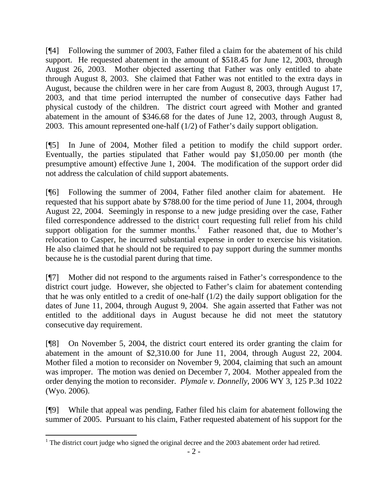[¶4] Following the summer of 2003, Father filed a claim for the abatement of his child support. He requested abatement in the amount of \$518.45 for June 12, 2003, through August 26, 2003. Mother objected asserting that Father was only entitled to abate through August 8, 2003. She claimed that Father was not entitled to the extra days in August, because the children were in her care from August 8, 2003, through August 17, 2003, and that time period interrupted the number of consecutive days Father had physical custody of the children. The district court agreed with Mother and granted abatement in the amount of \$346.68 for the dates of June 12, 2003, through August 8, 2003. This amount represented one-half (1/2) of Father's daily support obligation.

[¶5] In June of 2004, Mother filed a petition to modify the child support order. Eventually, the parties stipulated that Father would pay \$1,050.00 per month (the presumptive amount) effective June 1, 2004. The modification of the support order did not address the calculation of child support abatements.

[¶6] Following the summer of 2004, Father filed another claim for abatement. He requested that his support abate by \$788.00 for the time period of June 11, 2004, through August 22, 2004. Seemingly in response to a new judge presiding over the case, Father filed correspondence addressed to the district court requesting full relief from his child support obligation for the summer months.<sup>[1](#page-2-0)</sup> Father reasoned that, due to Mother's relocation to Casper, he incurred substantial expense in order to exercise his visitation. He also claimed that he should not be required to pay support during the summer months because he is the custodial parent during that time.

[¶7] Mother did not respond to the arguments raised in Father's correspondence to the district court judge. However, she objected to Father's claim for abatement contending that he was only entitled to a credit of one-half  $(1/2)$  the daily support obligation for the dates of June 11, 2004, through August 9, 2004. She again asserted that Father was not entitled to the additional days in August because he did not meet the statutory consecutive day requirement.

[¶8] On November 5, 2004, the district court entered its order granting the claim for abatement in the amount of \$2,310.00 for June 11, 2004, through August 22, 2004. Mother filed a motion to reconsider on November 9, 2004, claiming that such an amount was improper. The motion was denied on December 7, 2004. Mother appealed from the order denying the motion to reconsider. *Plymale v. Donnelly*, 2006 WY 3, 125 P.3d 1022 (Wyo. 2006).

[¶9] While that appeal was pending, Father filed his claim for abatement following the summer of 2005. Pursuant to his claim, Father requested abatement of his support for the

<span id="page-2-0"></span> $\overline{a}$ <sup>1</sup> The district court judge who signed the original decree and the  $2003$  abatement order had retired.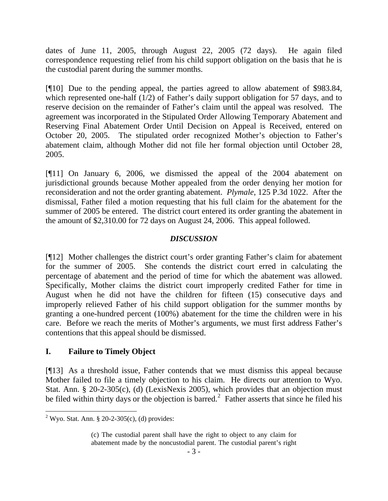dates of June 11, 2005, through August 22, 2005 (72 days). He again filed correspondence requesting relief from his child support obligation on the basis that he is the custodial parent during the summer months.

[¶10] Due to the pending appeal, the parties agreed to allow abatement of \$983.84, which represented one-half (1/2) of Father's daily support obligation for 57 days, and to reserve decision on the remainder of Father's claim until the appeal was resolved. The agreement was incorporated in the Stipulated Order Allowing Temporary Abatement and Reserving Final Abatement Order Until Decision on Appeal is Received, entered on October 20, 2005. The stipulated order recognized Mother's objection to Father's abatement claim, although Mother did not file her formal objection until October 28, 2005.

[¶11] On January 6, 2006, we dismissed the appeal of the 2004 abatement on jurisdictional grounds because Mother appealed from the order denying her motion for reconsideration and not the order granting abatement. *Plymale*, 125 P.3d 1022. After the dismissal, Father filed a motion requesting that his full claim for the abatement for the summer of 2005 be entered. The district court entered its order granting the abatement in the amount of \$2,310.00 for 72 days on August 24, 2006. This appeal followed.

## *DISCUSSION*

[¶12] Mother challenges the district court's order granting Father's claim for abatement for the summer of 2005. She contends the district court erred in calculating the percentage of abatement and the period of time for which the abatement was allowed. Specifically, Mother claims the district court improperly credited Father for time in August when he did not have the children for fifteen (15) consecutive days and improperly relieved Father of his child support obligation for the summer months by granting a one-hundred percent (100%) abatement for the time the children were in his care. Before we reach the merits of Mother's arguments, we must first address Father's contentions that this appeal should be dismissed.

## **I. Failure to Timely Object**

[¶13] As a threshold issue, Father contends that we must dismiss this appeal because Mother failed to file a timely objection to his claim. He directs our attention to Wyo. Stat. Ann. § 20-2-305(c), (d) (LexisNexis 2005), which provides that an objection must be filed within thirty days or the objection is barred.<sup>[2](#page-3-0)</sup> Father asserts that since he filed his

<span id="page-3-0"></span><sup>&</sup>lt;sup>2</sup> Wyo. Stat. Ann. § 20-2-305(c), (d) provides:

<sup>(</sup>c) The custodial parent shall have the right to object to any claim for abatement made by the noncustodial parent. The custodial parent's right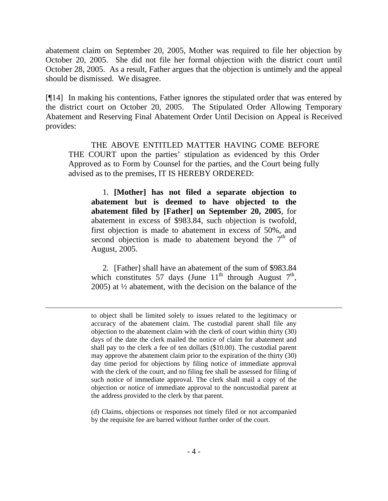abatement claim on September 20, 2005, Mother was required to file her objection by October 20, 2005. She did not file her formal objection with the district court until October 28, 2005. As a result, Father argues that the objection is untimely and the appeal should be dismissed. We disagree.

[¶14] In making his contentions, Father ignores the stipulated order that was entered by the district court on October 20, 2005. The Stipulated Order Allowing Temporary Abatement and Reserving Final Abatement Order Until Decision on Appeal is Received provides:

THE ABOVE ENTITLED MATTER HAVING COME BEFORE THE COURT upon the parties' stipulation as evidenced by this Order Approved as to Form by Counsel for the parties, and the Court being fully advised as to the premises, IT IS HEREBY ORDERED:

1. **[Mother] has not filed a separate objection to abatement but is deemed to have objected to the abatement filed by [Father] on September 20, 2005**, for abatement in excess of \$983.84, such objection is twofold, first objection is made to abatement in excess of 50%, and second objection is made to abatement beyond the  $7<sup>th</sup>$  of August, 2005.

2. [Father] shall have an abatement of the sum of \$983.84 which constitutes 57 days (June  $11<sup>th</sup>$  through August  $7<sup>th</sup>$ , 2005) at ½ abatement, with the decision on the balance of the

 $\overline{a}$ 

(d) Claims, objections or responses not timely filed or not accompanied by the requisite fee are barred without further order of the court.

to object shall be limited solely to issues related to the legitimacy or accuracy of the abatement claim. The custodial parent shall file any objection to the abatement claim with the clerk of court within thirty (30) days of the date the clerk mailed the notice of claim for abatement and shall pay to the clerk a fee of ten dollars (\$10.00). The custodial parent may approve the abatement claim prior to the expiration of the thirty (30) day time period for objections by filing notice of immediate approval with the clerk of the court, and no filing fee shall be assessed for filing of such notice of immediate approval. The clerk shall mail a copy of the objection or notice of immediate approval to the noncustodial parent at the address provided to the clerk by that parent.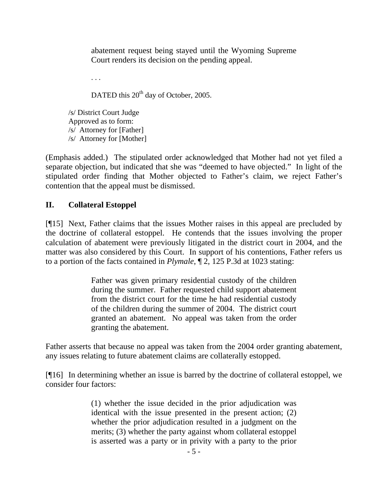abatement request being stayed until the Wyoming Supreme Court renders its decision on the pending appeal.

. . .

DATED this 20<sup>th</sup> day of October, 2005.

/s/ District Court Judge Approved as to form: /s/ Attorney for [Father] /s/ Attorney for [Mother]

(Emphasis added.) The stipulated order acknowledged that Mother had not yet filed a separate objection, but indicated that she was "deemed to have objected." In light of the stipulated order finding that Mother objected to Father's claim, we reject Father's contention that the appeal must be dismissed.

## **II. Collateral Estoppel**

[¶15] Next, Father claims that the issues Mother raises in this appeal are precluded by the doctrine of collateral estoppel. He contends that the issues involving the proper calculation of abatement were previously litigated in the district court in 2004, and the matter was also considered by this Court. In support of his contentions, Father refers us to a portion of the facts contained in *Plymale*, ¶ 2, 125 P.3d at 1023 stating:

> Father was given primary residential custody of the children during the summer. Father requested child support abatement from the district court for the time he had residential custody of the children during the summer of 2004. The district court granted an abatement. No appeal was taken from the order granting the abatement.

Father asserts that because no appeal was taken from the 2004 order granting abatement, any issues relating to future abatement claims are collaterally estopped.

[¶16] In determining whether an issue is barred by the doctrine of collateral estoppel, we consider four factors:

> (1) whether the issue decided in the prior adjudication was identical with the issue presented in the present action; (2) whether the prior adjudication resulted in a judgment on the merits; (3) whether the party against whom collateral estoppel is asserted was a party or in privity with a party to the prior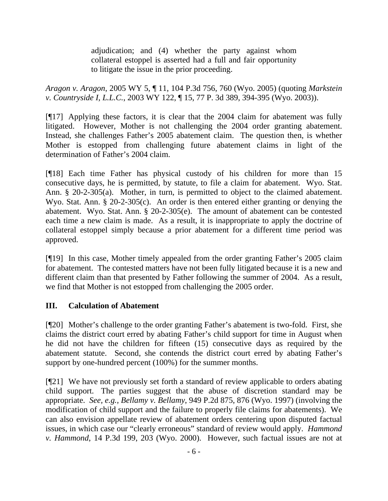adjudication; and (4) whether the party against whom collateral estoppel is asserted had a full and fair opportunity to litigate the issue in the prior proceeding.

*Aragon v. Aragon*[, 2005 WY 5, ¶ 11, 104 P.3d 756, 760 \(Wyo. 2005\)](http://www.lexis.com/research/xlink?app=00075&view=full&searchtype=get&search=2005+WY+5%2C+P11) (quoting *Markstein v. Countryside I, L.L.C.*, 2003 WY 122, ¶ 15, 77 P. 3d 389, 394-395 (Wyo. 2003)).

[¶17] Applying these factors, it is clear that the 2004 claim for abatement was fully litigated. However, Mother is not challenging the 2004 order granting abatement. Instead, she challenges Father's 2005 abatement claim. The question then, is whether Mother is estopped from challenging future abatement claims in light of the determination of Father's 2004 claim.

[¶18] Each time Father has physical custody of his children for more than 15 consecutive days, he is permitted, by statute, to file a claim for abatement. Wyo. Stat. Ann. § 20-2-305(a). Mother, in turn, is permitted to object to the claimed abatement. Wyo. Stat. Ann. § 20-2-305(c). An order is then entered either granting or denying the abatement. Wyo. Stat. Ann. § 20-2-305(e). The amount of abatement can be contested each time a new claim is made. As a result, it is inappropriate to apply the doctrine of collateral estoppel simply because a prior abatement for a different time period was approved.

[¶19] In this case, Mother timely appealed from the order granting Father's 2005 claim for abatement. The contested matters have not been fully litigated because it is a new and different claim than that presented by Father following the summer of 2004. As a result, we find that Mother is not estopped from challenging the 2005 order.

## **III. Calculation of Abatement**

[¶20] Mother's challenge to the order granting Father's abatement is two-fold. First, she claims the district court erred by abating Father's child support for time in August when he did not have the children for fifteen (15) consecutive days as required by the abatement statute. Second, she contends the district court erred by abating Father's support by one-hundred percent (100%) for the summer months.

[¶21] We have not previously set forth a standard of review applicable to orders abating child support. The parties suggest that the abuse of discretion standard may be appropriate. *See, e.g., Bellamy v. Bellamy*, 949 P.2d 875, 876 (Wyo. 1997) (involving the modification of child support and the failure to properly file claims for abatements). We can also envision appellate review of abatement orders centering upon disputed factual issues, in which case our "clearly erroneous" standard of review would apply. *Hammond v. Hammond*, 14 P.3d 199, 203 (Wyo. 2000). However, such factual issues are not at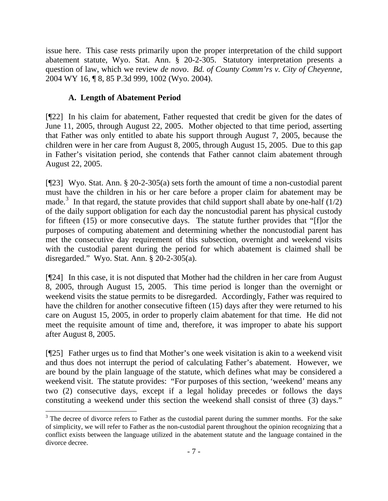issue here. This case rests primarily upon the proper interpretation of the child support abatement statute, Wyo. Stat. Ann. § 20-2-305. Statutory interpretation presents a question of law, which we review *de novo*. *Bd. of County Comm'rs v. City of Cheyenne,*  2004 WY 16, ¶ 8, 85 P.3d 999, 1002 (Wyo. 2004).

# **A. Length of Abatement Period**

 $\overline{a}$ 

[¶22] In his claim for abatement, Father requested that credit be given for the dates of June 11, 2005, through August 22, 2005. Mother objected to that time period, asserting that Father was only entitled to abate his support through August 7, 2005, because the children were in her care from August 8, 2005, through August 15, 2005. Due to this gap in Father's visitation period, she contends that Father cannot claim abatement through August 22, 2005.

[¶23] Wyo. Stat. Ann. § 20-2-305(a) sets forth the amount of time a non-custodial parent must have the children in his or her care before a proper claim for abatement may be made.<sup>[3](#page-7-0)</sup> In that regard, the statute provides that child support shall abate by one-half  $(1/2)$ of the daily support obligation for each day the noncustodial parent has physical custody for fifteen (15) or more consecutive days. The statute further provides that "[f]or the purposes of computing abatement and determining whether the noncustodial parent has met the consecutive day requirement of this subsection, overnight and weekend visits with the custodial parent during the period for which abatement is claimed shall be disregarded." Wyo. Stat. Ann. § 20-2-305(a).

[¶24] In this case, it is not disputed that Mother had the children in her care from August 8, 2005, through August 15, 2005. This time period is longer than the overnight or weekend visits the statue permits to be disregarded. Accordingly, Father was required to have the children for another consecutive fifteen (15) days after they were returned to his care on August 15, 2005, in order to properly claim abatement for that time. He did not meet the requisite amount of time and, therefore, it was improper to abate his support after August 8, 2005.

[¶25] Father urges us to find that Mother's one week visitation is akin to a weekend visit and thus does not interrupt the period of calculating Father's abatement. However, we are bound by the plain language of the statute, which defines what may be considered a weekend visit. The statute provides: "For purposes of this section, 'weekend' means any two (2) consecutive days, except if a legal holiday precedes or follows the days constituting a weekend under this section the weekend shall consist of three (3) days."

<span id="page-7-0"></span> $3$  The decree of divorce refers to Father as the custodial parent during the summer months. For the sake of simplicity, we will refer to Father as the non-custodial parent throughout the opinion recognizing that a conflict exists between the language utilized in the abatement statute and the language contained in the divorce decree.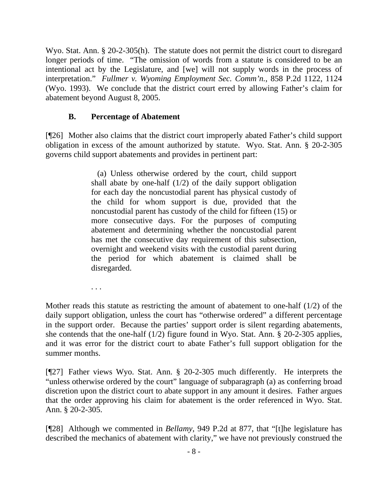Wyo. Stat. Ann. § 20-2-305(h). The statute does not permit the district court to disregard longer periods of time. "The omission of words from a statute is considered to be an intentional act by the Legislature, and [we] will not supply words in the process of interpretation." *Fullmer v. Wyoming Employment Sec. Comm'n.*, 858 P.2d 1122, 1124 (Wyo. 1993). We conclude that the district court erred by allowing Father's claim for abatement beyond August 8, 2005.

## **B. Percentage of Abatement**

[¶26] Mother also claims that the district court improperly abated Father's child support obligation in excess of the amount authorized by statute. Wyo. Stat. Ann. § 20-2-305 governs child support abatements and provides in pertinent part:

> (a) Unless otherwise ordered by the court, child support shall abate by one-half  $(1/2)$  of the daily support obligation for each day the noncustodial parent has physical custody of the child for whom support is due, provided that the noncustodial parent has custody of the child for fifteen (15) or more consecutive days. For the purposes of computing abatement and determining whether the noncustodial parent has met the consecutive day requirement of this subsection, overnight and weekend visits with the custodial parent during the period for which abatement is claimed shall be disregarded.

. . .

Mother reads this statute as restricting the amount of abatement to one-half (1/2) of the daily support obligation, unless the court has "otherwise ordered" a different percentage in the support order. Because the parties' support order is silent regarding abatements, she contends that the one-half (1/2) figure found in Wyo. Stat. Ann. § 20-2-305 applies, and it was error for the district court to abate Father's full support obligation for the summer months.

[¶27] Father views Wyo. Stat. Ann. § 20-2-305 much differently. He interprets the "unless otherwise ordered by the court" language of subparagraph (a) as conferring broad discretion upon the district court to abate support in any amount it desires. Father argues that the order approving his claim for abatement is the order referenced in Wyo. Stat. Ann. § 20-2-305.

[¶28] Although we commented in *Bellamy*, 949 P.2d at 877, that "[t]he legislature has described the mechanics of abatement with clarity," we have not previously construed the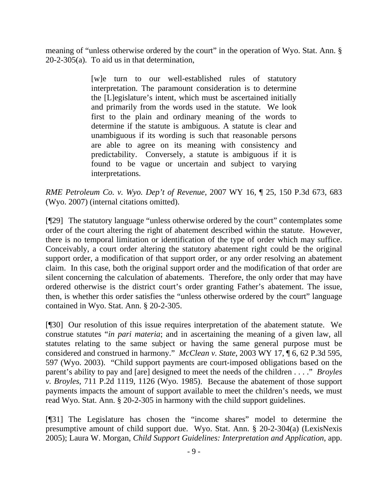meaning of "unless otherwise ordered by the court" in the operation of Wyo. Stat. Ann. § 20-2-305(a). To aid us in that determination,

> [w]e turn to our well-established rules of statutory interpretation. The paramount consideration is to determine the [L]egislature's intent, which must be ascertained initially and primarily from the words used in the statute. We look first to the plain and ordinary meaning of the words to determine if the statute is ambiguous. A statute is clear and unambiguous if its wording is such that reasonable persons are able to agree on its meaning with consistency and predictability. Conversely, a statute is ambiguous if it is found to be vague or uncertain and subject to varying interpretations.

*[RME Petroleum Co. v. Wyo. Dep't of Revenue](http://www.lexis.com/research/xlink?app=00075&view=full&searchtype=get&search=2007+WY+16%2C+P25)*, 2007 WY 16, ¶ 25, 150 P.3d 673, 683 [\(Wyo. 2007\)](http://www.lexis.com/research/xlink?app=00075&view=full&searchtype=get&search=2007+WY+16%2C+P25) (internal citations omitted).

[¶29] The statutory language "unless otherwise ordered by the court" contemplates some order of the court altering the right of abatement described within the statute. However, there is no temporal limitation or identification of the type of order which may suffice. Conceivably, a court order altering the statutory abatement right could be the original support order, a modification of that support order, or any order resolving an abatement claim. In this case, both the original support order and the modification of that order are silent concerning the calculation of abatements. Therefore, the only order that may have ordered otherwise is the district court's order granting Father's abatement. The issue, then, is whether this order satisfies the "unless otherwise ordered by the court" language contained in Wyo. Stat. Ann. § 20-2-305.

[¶30] Our resolution of this issue requires interpretation of the abatement statute. We construe statutes "*in pari materia*; and in ascertaining the meaning of a given law, all statutes relating to the same subject or having the same general purpose must be considered and construed in harmony." *McClean v. State*[, 2003 WY 17, ¶ 6, 62 P.3d 595,](http://www.lexis.com/research/xlink?app=00075&view=full&searchtype=get&search=2003+WY+17%2C+P6)  [597 \(Wyo. 2003\)](http://www.lexis.com/research/xlink?app=00075&view=full&searchtype=get&search=2003+WY+17%2C+P6). "Child support payments are court-imposed obligations based on the parent's ability to pay and [are] designed to meet the needs of the children . . . ." *[Broyles](http://www.lexis.com/research/xlink?app=00075&view=full&searchtype=get&search=711+P.2d+1125)  v. Broyles*[, 711 P.2d 1119, 1126 \(Wyo. 1985\)](http://www.lexis.com/research/xlink?app=00075&view=full&searchtype=get&search=711+P.2d+1125). Because the abatement of those support payments impacts the amount of support available to meet the children's needs, we must read Wyo. Stat. Ann. § 20-2-305 in harmony with the child support guidelines.

[¶31] The Legislature has chosen the "income shares" model to determine the presumptive amount of child support due. Wyo. Stat. Ann. § 20-2-304(a) (LexisNexis 2005); Laura W. Morgan, *Child Support Guidelines: Interpretation and Application*, app.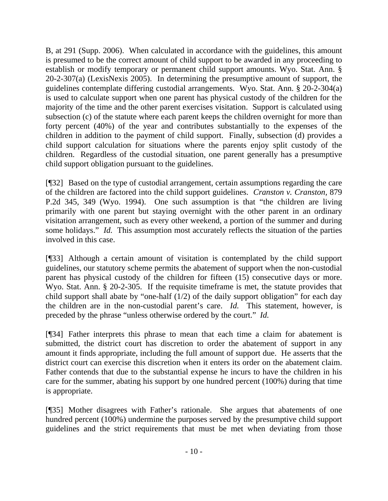B, at 291 (Supp. 2006). When calculated in accordance with the guidelines, this amount is presumed to be the correct amount of child support to be awarded in any proceeding to establish or modify temporary or permanent child support amounts. Wyo. Stat. Ann. § 20-2-307(a) (LexisNexis 2005). In determining the presumptive amount of support, the guidelines contemplate differing custodial arrangements. Wyo. Stat. Ann. § 20-2-304(a) is used to calculate support when one parent has physical custody of the children for the majority of the time and the other parent exercises visitation. Support is calculated using subsection (c) of the statute where each parent keeps the children overnight for more than forty percent (40%) of the year and contributes substantially to the expenses of the children in addition to the payment of child support. Finally, subsection (d) provides a child support calculation for situations where the parents enjoy split custody of the children. Regardless of the custodial situation, one parent generally has a presumptive child support obligation pursuant to the guidelines.

[¶32] Based on the type of custodial arrangement, certain assumptions regarding the care of the children are factored into the child support guidelines. *Cranston v. Cranston,* 879 P.2d 345, 349 (Wyo. 1994). One such assumption is that "the children are living primarily with one parent but staying overnight with the other parent in an ordinary visitation arrangement, such as every other weekend, a portion of the summer and during some holidays." *Id.* This assumption most accurately reflects the situation of the parties involved in this case.

[¶33] Although a certain amount of visitation is contemplated by the child support guidelines, our statutory scheme permits the abatement of support when the non-custodial parent has physical custody of the children for fifteen (15) consecutive days or more. Wyo. Stat. Ann. § 20-2-305. If the requisite time frame is met, the statute provides that child support shall abate by "one-half  $(1/2)$  of the daily support obligation" for each day the children are in the non-custodial parent's care. *Id.* This statement, however, is preceded by the phrase "unless otherwise ordered by the court." *Id.*

[¶34] Father interprets this phrase to mean that each time a claim for abatement is submitted, the district court has discretion to order the abatement of support in any amount it finds appropriate, including the full amount of support due. He asserts that the district court can exercise this discretion when it enters its order on the abatement claim. Father contends that due to the substantial expense he incurs to have the children in his care for the summer, abating his support by one hundred percent (100%) during that time is appropriate.

[¶35] Mother disagrees with Father's rationale. She argues that abatements of one hundred percent (100%) undermine the purposes served by the presumptive child support guidelines and the strict requirements that must be met when deviating from those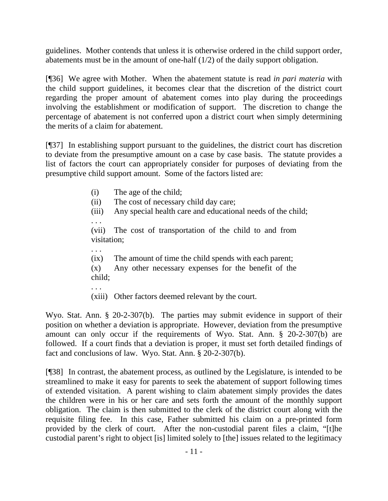guidelines. Mother contends that unless it is otherwise ordered in the child support order, abatements must be in the amount of one-half (1/2) of the daily support obligation.

[¶36] We agree with Mother. When the abatement statute is read *in pari materia* with the child support guidelines, it becomes clear that the discretion of the district court regarding the proper amount of abatement comes into play during the proceedings involving the establishment or modification of support. The discretion to change the percentage of abatement is not conferred upon a district court when simply determining the merits of a claim for abatement.

[¶37] In establishing support pursuant to the guidelines, the district court has discretion to deviate from the presumptive amount on a case by case basis. The statute provides a list of factors the court can appropriately consider for purposes of deviating from the presumptive child support amount. Some of the factors listed are:

(i) The age of the child;

. . .

. . .

- (ii) The cost of necessary child day care;
- (iii) Any special health care and educational needs of the child;

(vii) The cost of transportation of the child to and from visitation;

(ix) The amount of time the child spends with each parent;

(x) Any other necessary expenses for the benefit of the child;

. . . (xiii) Other factors deemed relevant by the court.

Wyo. Stat. Ann. § 20-2-307(b). The parties may submit evidence in support of their position on whether a deviation is appropriate. However, deviation from the presumptive amount can only occur if the requirements of Wyo. Stat. Ann. § 20-2-307(b) are followed. If a court finds that a deviation is proper, it must set forth detailed findings of fact and conclusions of law. Wyo. Stat. Ann. § 20-2-307(b).

[¶38] In contrast, the abatement process, as outlined by the Legislature, is intended to be streamlined to make it easy for parents to seek the abatement of support following times of extended visitation. A parent wishing to claim abatement simply provides the dates the children were in his or her care and sets forth the amount of the monthly support obligation. The claim is then submitted to the clerk of the district court along with the requisite filing fee. In this case, Father submitted his claim on a pre-printed form provided by the clerk of court. After the non-custodial parent files a claim, "[t]he custodial parent's right to object [is] limited solely to [the] issues related to the legitimacy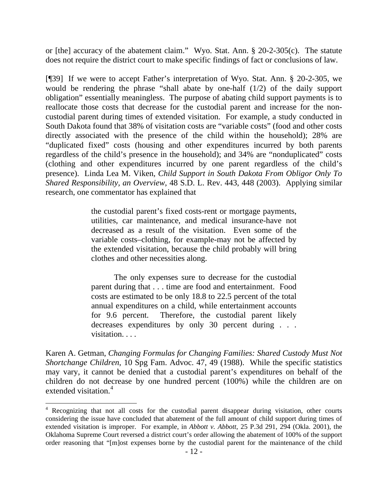or [the] accuracy of the abatement claim." Wyo. Stat. Ann. § 20-2-305(c). The statute does not require the district court to make specific findings of fact or conclusions of law.

[¶39] If we were to accept Father's interpretation of Wyo. Stat. Ann. § 20-2-305, we would be rendering the phrase "shall abate by one-half (1/2) of the daily support obligation" essentially meaningless. The purpose of abating child support payments is to reallocate those costs that decrease for the custodial parent and increase for the noncustodial parent during times of extended visitation. For example, a study conducted in South Dakota found that 38% of visitation costs are "variable costs" (food and other costs directly associated with the presence of the child within the household); 28% are "duplicated fixed" costs (housing and other expenditures incurred by both parents regardless of the child's presence in the household); and 34% are "nonduplicated" costs (clothing and other expenditures incurred by one parent regardless of the child's presence). Linda Lea M. Viken, *Child Support in South Dakota From Obligor Only To Shared Responsibility, an Overview*, 48 S.D. L. Rev. 443, 448 (2003). Applying similar research, one commentator has explained that

> the custodial parent's fixed costs-rent or mortgage payments, utilities, car maintenance, and medical insurance-have not decreased as a result of the visitation. Even some of the variable costs–clothing, for example-may not be affected by the extended visitation, because the child probably will bring clothes and other necessities along.

> The only expenses sure to decrease for the custodial parent during that . . . time are food and entertainment. Food costs are estimated to be only 18.8 to 22.5 percent of the total annual expenditures on a child, while entertainment accounts for 9.6 percent. Therefore, the custodial parent likely decreases expenditures by only 30 percent during . . . visitation. . . .

Karen A. Getman, *Changing Formulas for Changing Families: Shared Custody Must Not Shortchange Children*, 10 Spg Fam. Advoc. 47, 49 (1988). While the specific statistics may vary, it cannot be denied that a custodial parent's expenditures on behalf of the children do not decrease by one hundred percent (100%) while the children are on extended visitation.<sup>[4](#page-12-0)</sup>

 $\overline{a}$ 

<span id="page-12-0"></span><sup>&</sup>lt;sup>4</sup> Recognizing that not all costs for the custodial parent disappear during visitation, other courts considering the issue have concluded that abatement of the full amount of child support during times of extended visitation is improper. For example, in *Abbott v. Abbott*, 25 P.3d 291, 294 (Okla. 2001), the Oklahoma Supreme Court reversed a district court's order allowing the abatement of 100% of the support order reasoning that "[m]ost expenses borne by the custodial parent for the maintenance of the child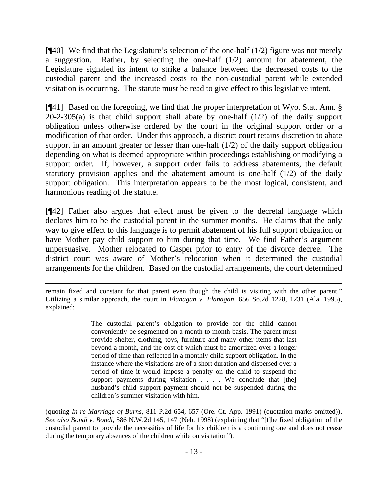[¶40] We find that the Legislature's selection of the one-half (1/2) figure was not merely a suggestion. Rather, by selecting the one-half  $(1/2)$  amount for abatement, the Legislature signaled its intent to strike a balance between the decreased costs to the custodial parent and the increased costs to the non-custodial parent while extended visitation is occurring. The statute must be read to give effect to this legislative intent.

[¶41] Based on the foregoing, we find that the proper interpretation of Wyo. Stat. Ann. §  $20-2-305(a)$  is that child support shall abate by one-half  $(1/2)$  of the daily support obligation unless otherwise ordered by the court in the original support order or a modification of that order. Under this approach, a district court retains discretion to abate support in an amount greater or lesser than one-half (1/2) of the daily support obligation depending on what is deemed appropriate within proceedings establishing or modifying a support order. If, however, a support order fails to address abatements, the default statutory provision applies and the abatement amount is one-half  $(1/2)$  of the daily support obligation. This interpretation appears to be the most logical, consistent, and harmonious reading of the statute.

[¶42] Father also argues that effect must be given to the decretal language which declares him to be the custodial parent in the summer months. He claims that the only way to give effect to this language is to permit abatement of his full support obligation or have Mother pay child support to him during that time. We find Father's argument unpersuasive. Mother relocated to Casper prior to entry of the divorce decree. The district court was aware of Mother's relocation when it determined the custodial arrangements for the children. Based on the custodial arrangements, the court determined

The custodial parent's obligation to provide for the child cannot conveniently be segmented on a month to month basis. The parent must provide shelter, clothing, toys, furniture and many other items that last beyond a month, and the cost of which must be amortized over a longer period of time than reflected in a monthly child support obligation. In the instance where the visitations are of a short duration and dispersed over a period of time it would impose a penalty on the child to suspend the support payments during visitation . . . . We conclude that [the] husband's child support payment should not be suspended during the children's summer visitation with him.

(quoting *In re Marriage of Burns*, 811 P.2d 654, 657 (Ore. Ct. App. 1991) (quotation marks omitted)). *See also Bondi v. Bondi*[, 586 N.W.2d 145, 147 \(Neb. 1998\)](http://www.lexis.com/research/xlink?app=00075&view=full&searchtype=get&search=255+Neb.+322) (explaining that "[t]he fixed obligation of the custodial parent to provide the necessities of life for his children is a continuing one and does not cease during the temporary absences of the children while on visitation").

 $\overline{a}$ remain fixed and constant for that parent even though the child is visiting with the other parent." Utilizing a similar approach, the court in *Flanagan v. Flanagan,* 656 So.2d 1228, 1231 (Ala. 1995), explained: